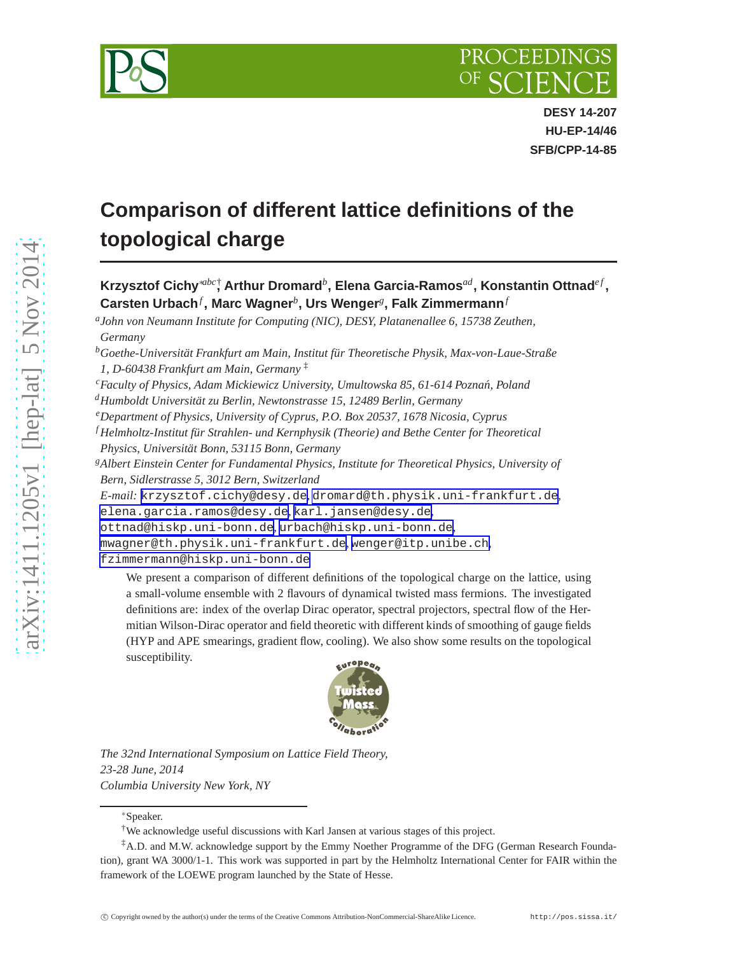

**DESY 14-207 HU-EP-14/46 SFB/CPP-14-85**

# **Comparison of different lattice definitions of the topological charge**

**Krzysztof Cichy**∗*abc*† **, Arthur Dromard***<sup>b</sup>* **, Elena Garcia-Ramos***ad***, Konstantin Ottnad***e f* **, Carsten Urbach***<sup>f</sup>* **, Marc Wagner***<sup>b</sup>* **, Urs Wenger***<sup>g</sup>* **, Falk Zimmermann***<sup>f</sup>*

*a John von Neumann Institute for Computing (NIC), DESY, Platanenallee 6, 15738 Zeuthen, Germany*

- *<sup>d</sup>Humboldt Universität zu Berlin, Newtonstrasse 15, 12489 Berlin, Germany*
- *<sup>e</sup>Department of Physics, University of Cyprus, P.O. Box 20537, 1678 Nicosia, Cyprus*
- *<sup>f</sup> Helmholtz-Institut für Strahlen- und Kernphysik (Theorie) and Bethe Center for Theoretical Physics, Universität Bonn, 53115 Bonn, Germany*
- *<sup>g</sup>Albert Einstein Center for Fundamental Physics, Institute for Theoretical Physics, University of Bern, Sidlerstrasse 5, 3012 Bern, Switzerland*
- *E-mail:* [krzysztof.cichy@desy.de](mailto:krzysztof.cichy@desy.de)*,* [dromard@th.physik.uni-frankfurt.de](mailto:dromard@th.physik.uni-frankfurt.de)*,*

[elena.garcia.ramos@desy.de](mailto:elena.garcia.ramos@desy.de)*,* [karl.jansen@desy.de](mailto:karl.jansen@desy.de)*,*

```
ottnad@hiskp.uni-bonn.de, urbach@hiskp.uni-bonn.de,
```

```
mwagner@th.physik.uni-frankfurt.de, wenger@itp.unibe.ch,
```
[fzimmermann@hiskp.uni-bonn.de](mailto:fzimmermann@hiskp.uni-bonn.de)

We present a comparison of different definitions of the topological charge on the lattice, using a small-volume ensemble with 2 flavours of dynamical twisted mass fermions. The investigated definitions are: index of the overlap Dirac operator, spectral projectors, spectral flow of the Hermitian Wilson-Dirac operator and field theoretic with different kinds of smoothing of gauge fields (HYP and APE smearings, gradient flow, cooling). We also show some results on the topological susceptibility.



*The 32nd International Symposium on Lattice Field Theory, 23-28 June, 2014 Columbia University New York, NY*

<sup>∗</sup>Speaker.

*<sup>b</sup>Goethe-Universität Frankfurt am Main, Institut für Theoretische Physik, Max-von-Laue-Straße 1, D-60438 Frankfurt am Main, Germany* ‡

*<sup>c</sup>Faculty of Physics, Adam Mickiewicz University, Umultowska 85, 61-614 Pozna´n, Poland*

<sup>†</sup>We acknowledge useful discussions with Karl Jansen at various stages of this project.

<sup>‡</sup>A.D. and M.W. acknowledge support by the Emmy Noether Programme of the DFG (German Research Foundation), grant WA 3000/1-1. This work was supported in part by the Helmholtz International Center for FAIR within the framework of the LOEWE program launched by the State of Hesse.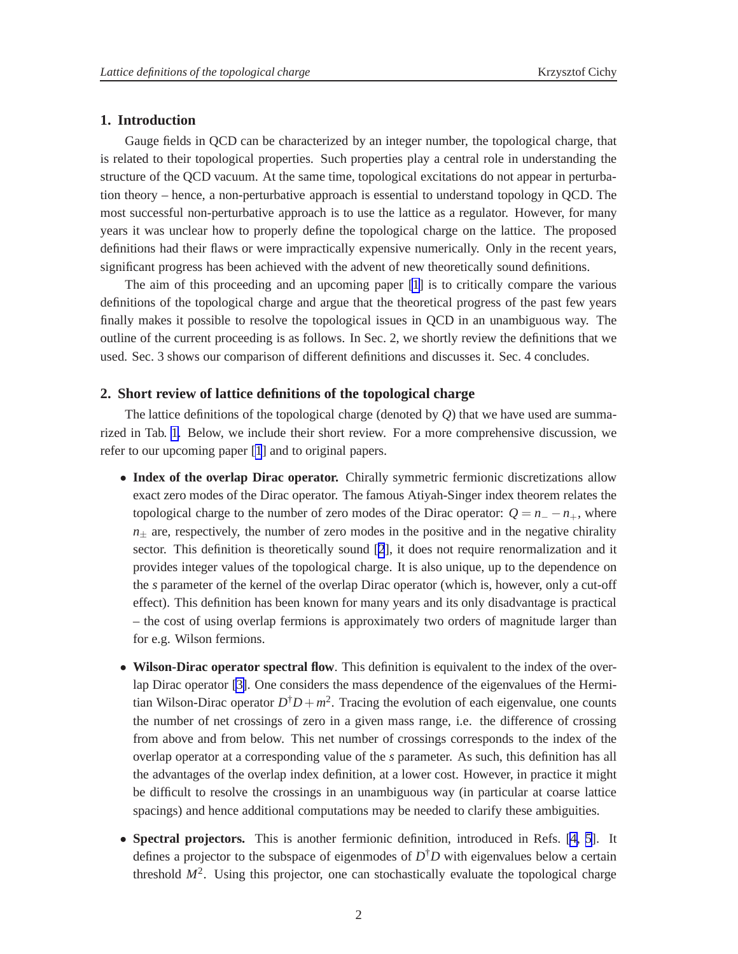## **1. Introduction**

Gauge fields in QCD can be characterized by an integer number, the topological charge, that is related to their topological properties. Such properties play a central role in understanding the structure of the QCD vacuum. At the same time, topological excitations do not appear in perturbation theory – hence, a non-perturbative approach is essential to understand topology in QCD. The most successful non-perturbative approach is to use the lattice as a regulator. However, for many years it was unclear how to properly define the topological charge on the lattice. The proposed definitions had their flaws or were impractically expensive numerically. Only in the recent years, significant progress has been achieved with the advent of new theoretically sound definitions.

The aim of this proceeding and an upcoming paper [\[1](#page-6-0)] is to critically compare the various definitions of the topological charge and argue that the theoretical progress of the past few years finally makes it possible to resolve the topological issues in QCD in an unambiguous way. The outline of the current proceeding is as follows. In Sec. 2, we shortly review the definitions that we used. Sec. 3 shows our comparison of different definitions and discusses it. Sec. 4 concludes.

## **2. Short review of lattice definitions of the topological charge**

The lattice definitions of the topological charge (denoted by *Q*) that we have used are summarized in Tab. [1.](#page-2-0) Below, we include their short review. For a more comprehensive discussion, we refer to our upcoming paper [\[1](#page-6-0)] and to original papers.

- **Index of the overlap Dirac operator.** Chirally symmetric fermionic discretizations allow exact zero modes of the Dirac operator. The famous Atiyah-Singer index theorem relates the topological charge to the number of zero modes of the Dirac operator:  $Q = n - n_+$ , where  $n_{+}$  are, respectively, the number of zero modes in the positive and in the negative chirality sector. This definition is theoretically sound [\[2](#page-6-0)], it does not require renormalization and it provides integer values of the topological charge. It is also unique, up to the dependence on the *s* parameter of the kernel of the overlap Dirac operator (which is, however, only a cut-off effect). This definition has been known for many years and its only disadvantage is practical – the cost of using overlap fermions is approximately two orders of magnitude larger than for e.g. Wilson fermions.
- **Wilson-Dirac operator spectral flow**. This definition is equivalent to the index of the overlap Dirac operator [\[3\]](#page-6-0). One considers the mass dependence of the eigenvalues of the Hermitian Wilson-Dirac operator  $D^{\dagger}D + m^2$ . Tracing the evolution of each eigenvalue, one counts the number of net crossings of zero in a given mass range, i.e. the difference of crossing from above and from below. This net number of crossings corresponds to the index of the overlap operator at a corresponding value of the *s* parameter. As such, this definition has all the advantages of the overlap index definition, at a lower cost. However, in practice it might be difficult to resolve the crossings in an unambiguous way (in particular at coarse lattice spacings) and hence additional computations may be needed to clarify these ambiguities.
- **Spectral projectors.** This is another fermionic definition, introduced in Refs. [\[4, 5](#page-6-0)]. It defines a projector to the subspace of eigenmodes of *D* †*D* with eigenvalues below a certain threshold  $M^2$ . Using this projector, one can stochastically evaluate the topological charge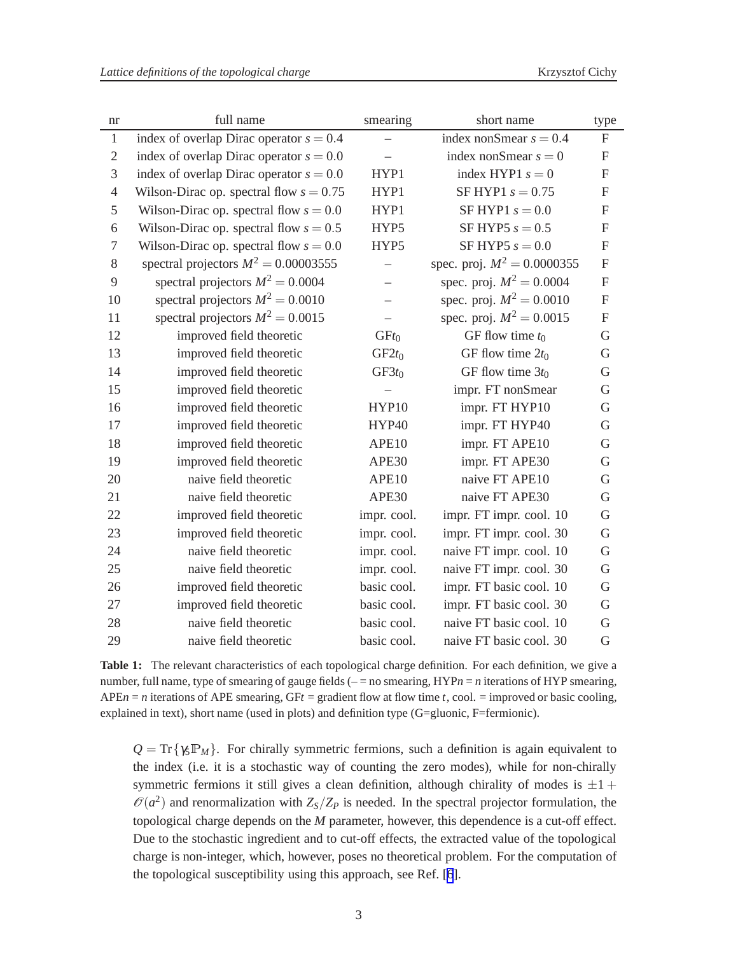<span id="page-2-0"></span>

| nr             | full name                                 | smearing                 | short name                    | type                      |
|----------------|-------------------------------------------|--------------------------|-------------------------------|---------------------------|
| $\mathbf{1}$   | index of overlap Dirac operator $s = 0.4$ | $\overline{\phantom{0}}$ | index nonSmear $s = 0.4$      | $\mathbf{F}$              |
| $\mathfrak{2}$ | index of overlap Dirac operator $s = 0.0$ |                          | index nonSmear $s = 0$        | $\boldsymbol{\mathrm{F}}$ |
| 3              | index of overlap Dirac operator $s = 0.0$ | HYP1                     | index HYP1 $s = 0$            | ${\bf F}$                 |
| $\overline{4}$ | Wilson-Dirac op. spectral flow $s = 0.75$ | HYP1                     | SF HYP1 $s = 0.75$            | F                         |
| 5              | Wilson-Dirac op. spectral flow $s = 0.0$  | HYP1                     | SF HYP1 $s = 0.0$             | $\mathbf{F}$              |
| 6              | Wilson-Dirac op. spectral flow $s = 0.5$  | HYP5                     | SF HYP5 $s = 0.5$             | ${\bf F}$                 |
| $\tau$         | Wilson-Dirac op. spectral flow $s = 0.0$  | HYP5                     | SF HYP5 $s = 0.0$             | $\boldsymbol{\mathrm{F}}$ |
| 8              | spectral projectors $M^2 = 0.00003555$    | $\overline{\phantom{0}}$ | spec. proj. $M^2 = 0.0000355$ | $\boldsymbol{\mathrm{F}}$ |
| 9              | spectral projectors $M^2 = 0.0004$        | $\qquad \qquad -$        | spec. proj. $M^2 = 0.0004$    | $\boldsymbol{\mathrm{F}}$ |
| 10             | spectral projectors $M^2 = 0.0010$        | $\overline{\phantom{0}}$ | spec. proj. $M^2 = 0.0010$    | ${\bf F}$                 |
| 11             | spectral projectors $M^2 = 0.0015$        |                          | spec. proj. $M^2 = 0.0015$    | ${\bf F}$                 |
| 12             | improved field theoretic                  | GFt <sub>0</sub>         | GF flow time $t_0$            | G                         |
| 13             | improved field theoretic                  | $GF2t_0$                 | GF flow time $2t_0$           | $\mathbf G$               |
| 14             | improved field theoretic                  | $GF3t_0$                 | GF flow time $3t_0$           | G                         |
| 15             | improved field theoretic                  |                          | impr. FT nonSmear             | G                         |
| 16             | improved field theoretic                  | HYP10                    | impr. FT HYP10                | G                         |
| 17             | improved field theoretic                  | HYP40                    | impr. FT HYP40                | G                         |
| 18             | improved field theoretic                  | APE10                    | impr. FT APE10                | G                         |
| 19             | improved field theoretic                  | APE30                    | impr. FT APE30                | G                         |
| 20             | naive field theoretic                     | APE10                    | naive FT APE10                | G                         |
| 21             | naive field theoretic                     | APE30                    | naive FT APE30                | G                         |
| 22             | improved field theoretic                  | impr. cool.              | impr. FT impr. cool. 10       | $\mathbf G$               |
| 23             | improved field theoretic                  | impr. cool.              | impr. FT impr. cool. 30       | $\mathbf G$               |
| 24             | naive field theoretic                     | impr. cool.              | naive FT impr. cool. 10       | G                         |
| 25             | naive field theoretic                     | impr. cool.              | naive FT impr. cool. 30       | G                         |
| 26             | improved field theoretic                  | basic cool.              | impr. FT basic cool. 10       | $\mathbf G$               |
| 27             | improved field theoretic                  | basic cool.              | impr. FT basic cool. 30       | $\mathbf G$               |
| 28             | naive field theoretic                     | basic cool.              | naive FT basic cool. 10       | G                         |
| 29             | naive field theoretic                     | basic cool.              | naive FT basic cool. 30       | G                         |

**Table 1:** The relevant characteristics of each topological charge definition. For each definition, we give a number, full name, type of smearing of gauge fields (- = no smearing, HYP*n* = *n* iterations of HYP smearing,  $APEn = n$  iterations of  $APE$  smearing,  $GF =$  gradient flow at flow time *t*, cool. = improved or basic cooling, explained in text), short name (used in plots) and definition type (G=gluonic, F=fermionic).

 $Q = Tr{y<sub>S</sub> P<sub>M</sub>}$ . For chirally symmetric fermions, such a definition is again equivalent to the index (i.e. it is a stochastic way of counting the zero modes), while for non-chirally symmetric fermions it still gives a clean definition, although chirality of modes is  $\pm 1$  +  $\mathcal{O}(a^2)$  and renormalization with  $Z_s/Z_P$  is needed. In the spectral projector formulation, the topological charge depends on the *M* parameter, however, this dependence is a cut-off effect. Due to the stochastic ingredient and to cut-off effects, the extracted value of the topological charge is non-integer, which, however, poses no theoretical problem. For the computation of the topological susceptibility using this approach, see Ref. [\[6](#page-6-0)].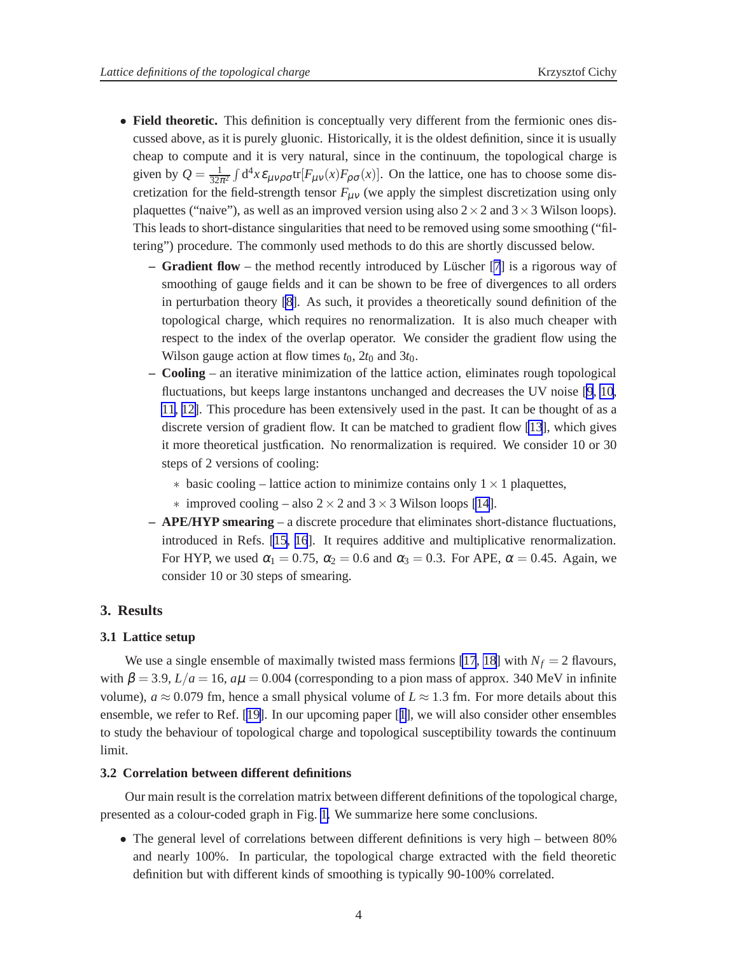- **Field theoretic.** This definition is conceptually very different from the fermionic ones discussed above, as it is purely gluonic. Historically, it is the oldest definition, since it is usually cheap to compute and it is very natural, since in the continuum, the topological charge is given by  $Q = \frac{1}{324}$  $\frac{1}{32\pi^2} \int d^4x \mathcal{E}_{\mu\nu\rho\sigma}$ tr $[F_{\mu\nu}(x)F_{\rho\sigma}(x)]$ . On the lattice, one has to choose some discretization for the field-strength tensor  $F_{\mu\nu}$  (we apply the simplest discretization using only plaquettes ("naive"), as well as an improved version using also  $2 \times 2$  and  $3 \times 3$  Wilson loops). This leads to short-distance singularities that need to be removed using some smoothing ("filtering") procedure. The commonly used methods to do this are shortly discussed below.
	- **Gradient flow** the method recently introduced by Lüscher [[7](#page-6-0)] is a rigorous way of smoothing of gauge fields and it can be shown to be free of divergences to all orders in perturbation theory [\[8\]](#page-6-0). As such, it provides a theoretically sound definition of the topological charge, which requires no renormalization. It is also much cheaper with respect to the index of the overlap operator. We consider the gradient flow using the Wilson gauge action at flow times  $t_0$ ,  $2t_0$  and  $3t_0$ .
	- **Cooling** an iterative minimization of the lattice action, eliminates rough topological fluctuations, but keeps large instantons unchanged and decreases the UV noise [[9](#page-6-0), [10](#page-6-0), [11](#page-6-0), [12\]](#page-6-0). This procedure has been extensively used in the past. It can be thought of as a discrete version of gradient flow. It can be matched to gradient flow [\[13](#page-6-0)], which gives it more theoretical justfication. No renormalization is required. We consider 10 or 30 steps of 2 versions of cooling:
		- $\ast$  basic cooling lattice action to minimize contains only  $1 \times 1$  plaquettes,
		- $\ast$  improved cooling also 2  $\times$  2 and 3  $\times$  3 Wilson loops [\[14](#page-6-0)].
	- **APE/HYP smearing** a discrete procedure that eliminates short-distance fluctuations, introduced in Refs. [\[15](#page-6-0), [16](#page-6-0)]. It requires additive and multiplicative renormalization. For HYP, we used  $\alpha_1 = 0.75$ ,  $\alpha_2 = 0.6$  and  $\alpha_3 = 0.3$ . For APE,  $\alpha = 0.45$ . Again, we consider 10 or 30 steps of smearing.

#### **3. Results**

#### **3.1 Lattice setup**

We use a single ensemble of maximally twisted mass fermions [\[17](#page-6-0), [18\]](#page-6-0) with  $N_f = 2$  flavours, with  $\beta = 3.9$ ,  $L/a = 16$ ,  $a\mu = 0.004$  (corresponding to a pion mass of approx. 340 MeV in infinite volume),  $a \approx 0.079$  fm, hence a small physical volume of  $L \approx 1.3$  fm. For more details about this ensemble, we refer to Ref. [[19\]](#page-6-0). In our upcoming paper [[1](#page-6-0)], we will also consider other ensembles to study the behaviour of topological charge and topological susceptibility towards the continuum limit.

#### **3.2 Correlation between different definitions**

Our main result is the correlation matrix between different definitions of the topological charge, presented as a colour-coded graph in Fig. [1.](#page-4-0) We summarize here some conclusions.

• The general level of correlations between different definitions is very high – between 80% and nearly 100%. In particular, the topological charge extracted with the field theoretic definition but with different kinds of smoothing is typically 90-100% correlated.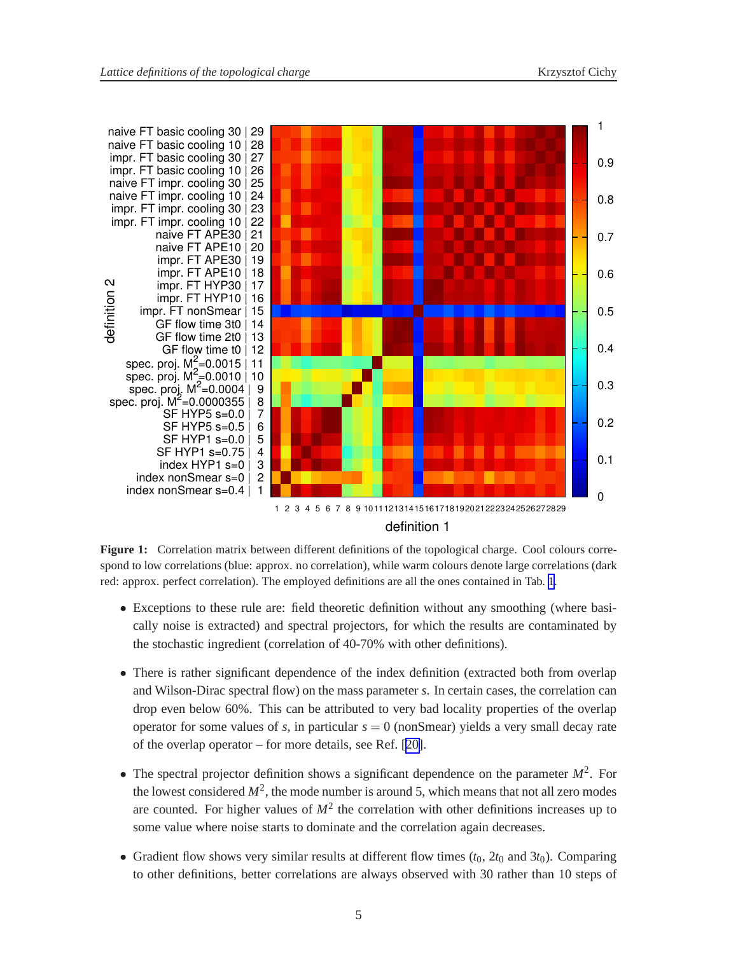<span id="page-4-0"></span>

**Figure 1:** Correlation matrix between different definitions of the topological charge. Cool colours correspond to low correlations (blue: approx. no correlation), while warm colours denote large correlations (dark red: approx. perfect correlation). The employed definitions are all the ones contained in Tab. [1.](#page-2-0)

- Exceptions to these rule are: field theoretic definition without any smoothing (where basically noise is extracted) and spectral projectors, for which the results are contaminated by the stochastic ingredient (correlation of 40-70% with other definitions).
- There is rather significant dependence of the index definition (extracted both from overlap and Wilson-Dirac spectral flow) on the mass parameter *s*. In certain cases, the correlation can drop even below 60%. This can be attributed to very bad locality properties of the overlap operator for some values of  $s$ , in particular  $s = 0$  (nonSmear) yields a very small decay rate of the overlap operator – for more details, see Ref. [[20\]](#page-6-0).
- The spectral projector definition shows a significant dependence on the parameter  $M^2$ . For the lowest considered  $M^2$ , the mode number is around 5, which means that not all zero modes are counted. For higher values of  $M^2$  the correlation with other definitions increases up to some value where noise starts to dominate and the correlation again decreases.
- Gradient flow shows very similar results at different flow times  $(t_0, 2t_0$  and  $3t_0$ ). Comparing to other definitions, better correlations are always observed with 30 rather than 10 steps of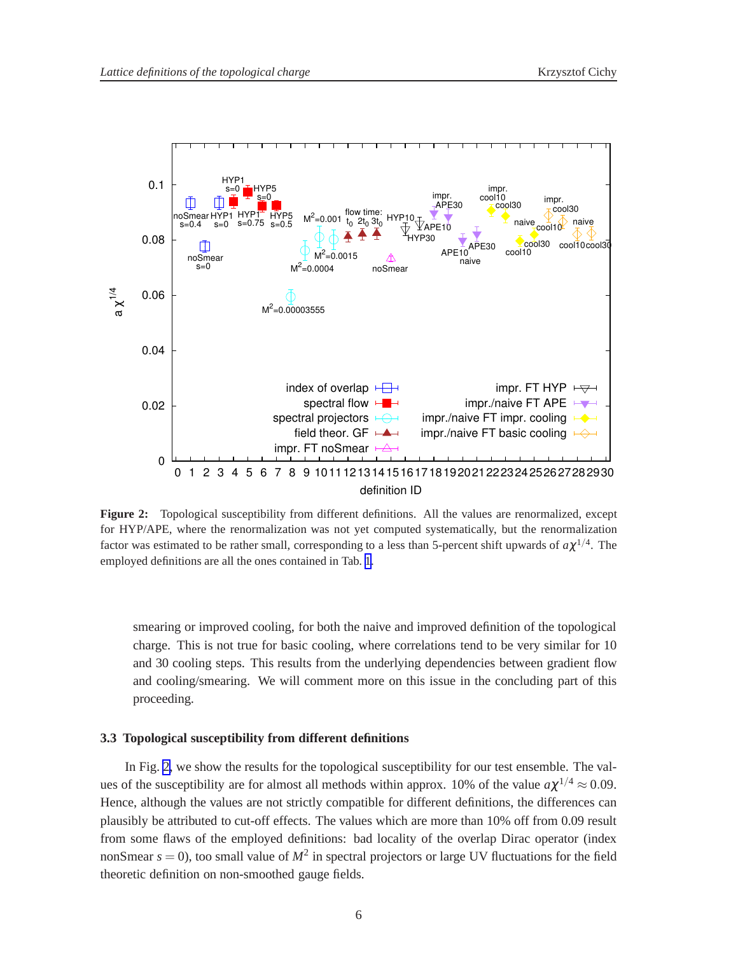

**Figure 2:** Topological susceptibility from different definitions. All the values are renormalized, except for HYP/APE, where the renormalization was not yet computed systematically, but the renormalization factor was estimated to be rather small, corresponding to a less than 5-percent shift upwards of  $a\chi^{1/4}$ . The employed definitions are all the ones contained in Tab. [1.](#page-2-0)

smearing or improved cooling, for both the naive and improved definition of the topological charge. This is not true for basic cooling, where correlations tend to be very similar for 10 and 30 cooling steps. This results from the underlying dependencies between gradient flow and cooling/smearing. We will comment more on this issue in the concluding part of this proceeding.

### **3.3 Topological susceptibility from different definitions**

In Fig. 2, we show the results for the topological susceptibility for our test ensemble. The values of the susceptibility are for almost all methods within approx. 10% of the value  $a\chi^{1/4} \approx 0.09$ . Hence, although the values are not strictly compatible for different definitions, the differences can plausibly be attributed to cut-off effects. The values which are more than 10% off from 0.09 result from some flaws of the employed definitions: bad locality of the overlap Dirac operator (index nonSmear  $s = 0$ ), too small value of  $M^2$  in spectral projectors or large UV fluctuations for the field theoretic definition on non-smoothed gauge fields.